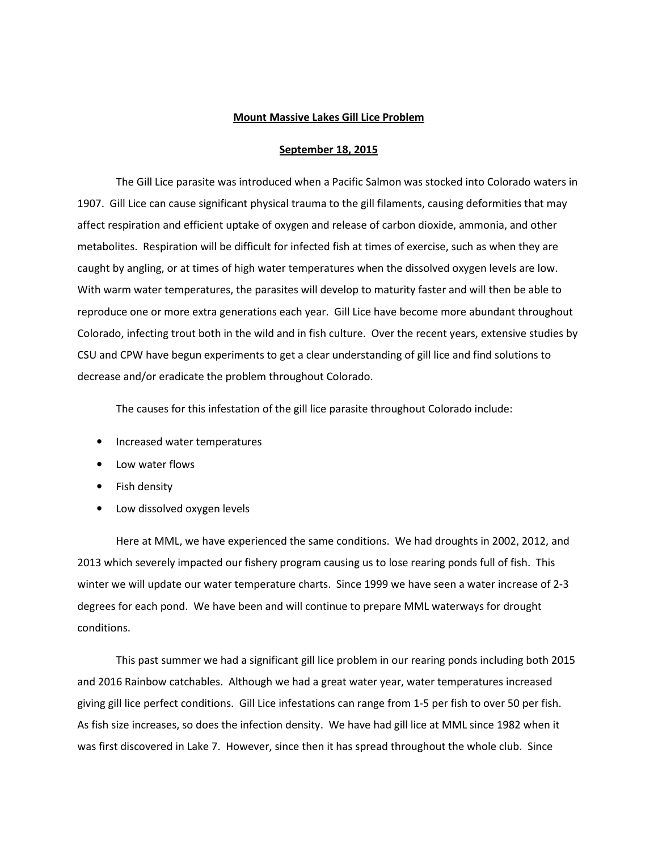## Mount Massive Lakes Gill Lice Problem

## September 18, 2015

The Gill Lice parasite was introduced when a Pacific Salmon was stocked into Colorado waters in 1907. Gill Lice can cause significant physical trauma to the gill filaments, causing deformities that may affect respiration and efficient uptake of oxygen and release of carbon dioxide, ammonia, and other metabolites. Respiration will be difficult for infected fish at times of exercise, such as when they are caught by angling, or at times of high water temperatures when the dissolved oxygen levels are low. With warm water temperatures, the parasites will develop to maturity faster and will then be able to reproduce one or more extra generations each year. Gill Lice have become more abundant throughout Colorado, infecting trout both in the wild and in fish culture. Over the recent years, extensive studies by CSU and CPW have begun experiments to get a clear understanding of gill lice and find solutions to decrease and/or eradicate the problem throughout Colorado.

The causes for this infestation of the gill lice parasite throughout Colorado include:

- Increased water temperatures
- Low water flows
- Fish density
- Low dissolved oxygen levels

Here at MML, we have experienced the same conditions. We had droughts in 2002, 2012, and 2013 which severely impacted our fishery program causing us to lose rearing ponds full of fish. This winter we will update our water temperature charts. Since 1999 we have seen a water increase of 2-3 degrees for each pond. We have been and will continue to prepare MML waterways for drought conditions.

 This past summer we had a significant gill lice problem in our rearing ponds including both 2015 and 2016 Rainbow catchables. Although we had a great water year, water temperatures increased giving gill lice perfect conditions. Gill Lice infestations can range from 1-5 per fish to over 50 per fish. As fish size increases, so does the infection density. We have had gill lice at MML since 1982 when it was first discovered in Lake 7. However, since then it has spread throughout the whole club. Since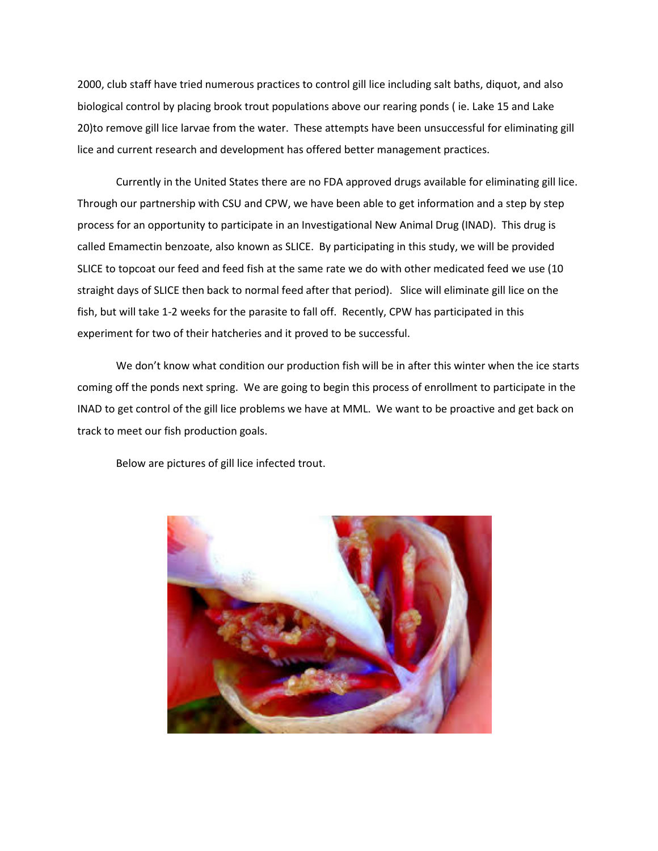2000, club staff have tried numerous practices to control gill lice including salt baths, diquot, and also biological control by placing brook trout populations above our rearing ponds ( ie. Lake 15 and Lake 20)to remove gill lice larvae from the water. These attempts have been unsuccessful for eliminating gill lice and current research and development has offered better management practices.

 Currently in the United States there are no FDA approved drugs available for eliminating gill lice. Through our partnership with CSU and CPW, we have been able to get information and a step by step process for an opportunity to participate in an Investigational New Animal Drug (INAD). This drug is called Emamectin benzoate, also known as SLICE. By participating in this study, we will be provided SLICE to topcoat our feed and feed fish at the same rate we do with other medicated feed we use (10 straight days of SLICE then back to normal feed after that period). Slice will eliminate gill lice on the fish, but will take 1-2 weeks for the parasite to fall off. Recently, CPW has participated in this experiment for two of their hatcheries and it proved to be successful.

 We don't know what condition our production fish will be in after this winter when the ice starts coming off the ponds next spring. We are going to begin this process of enrollment to participate in the INAD to get control of the gill lice problems we have at MML. We want to be proactive and get back on track to meet our fish production goals.

Below are pictures of gill lice infected trout.